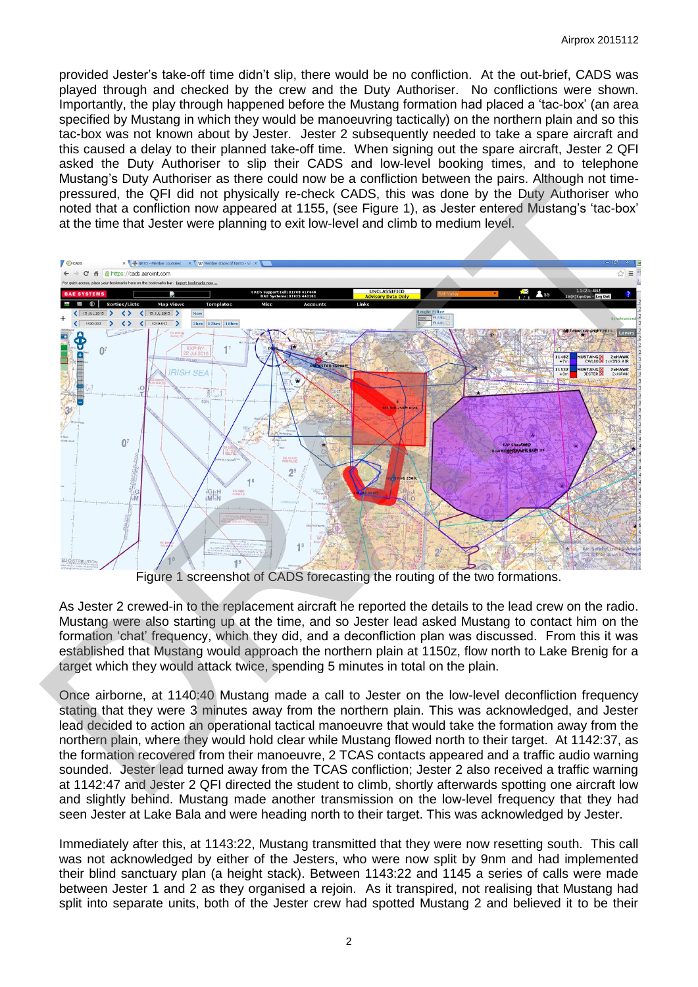provided Jester's take-off time didn't slip, there would be no confliction. At the out-brief, CADS was played through and checked by the crew and the Duty Authoriser. No conflictions were shown. Importantly, the play through happened before the Mustang formation had placed a 'tac-box' (an area specified by Mustang in which they would be manoeuvring tactically) on the northern plain and so this tac-box was not known about by Jester. Jester 2 subsequently needed to take a spare aircraft and this caused a delay to their planned take-off time. When signing out the spare aircraft, Jester 2 QFI asked the Duty Authoriser to slip their CADS and low-level booking times, and to telephone Mustang's Duty Authoriser as there could now be a confliction between the pairs. Although not timepressured, the QFI did not physically re-check CADS, this was done by the Duty Authoriser who noted that a confliction now appeared at 1155, (see Figure 1), as Jester entered Mustang's 'tac-box' at the time that Jester were planning to exit low-level and climb to medium level.



Figure 1 screenshot of CADS forecasting the routing of the two formations.

As Jester 2 crewed-in to the replacement aircraft he reported the details to the lead crew on the radio. Mustang were also starting up at the time, and so Jester lead asked Mustang to contact him on the formation 'chat' frequency, which they did, and a deconfliction plan was discussed. From this it was established that Mustang would approach the northern plain at 1150z, flow north to Lake Brenig for a target which they would attack twice, spending 5 minutes in total on the plain.

Once airborne, at 1140:40 Mustang made a call to Jester on the low-level deconfliction frequency stating that they were 3 minutes away from the northern plain. This was acknowledged, and Jester lead decided to action an operational tactical manoeuvre that would take the formation away from the northern plain, where they would hold clear while Mustang flowed north to their target. At 1142:37, as the formation recovered from their manoeuvre, 2 TCAS contacts appeared and a traffic audio warning sounded. Jester lead turned away from the TCAS confliction; Jester 2 also received a traffic warning at 1142:47 and Jester 2 QFI directed the student to climb, shortly afterwards spotting one aircraft low and slightly behind. Mustang made another transmission on the low-level frequency that they had seen Jester at Lake Bala and were heading north to their target. This was acknowledged by Jester.

Immediately after this, at 1143:22, Mustang transmitted that they were now resetting south. This call was not acknowledged by either of the Jesters, who were now split by 9nm and had implemented their blind sanctuary plan (a height stack). Between 1143:22 and 1145 a series of calls were made between Jester 1 and 2 as they organised a rejoin. As it transpired, not realising that Mustang had split into separate units, both of the Jester crew had spotted Mustang 2 and believed it to be their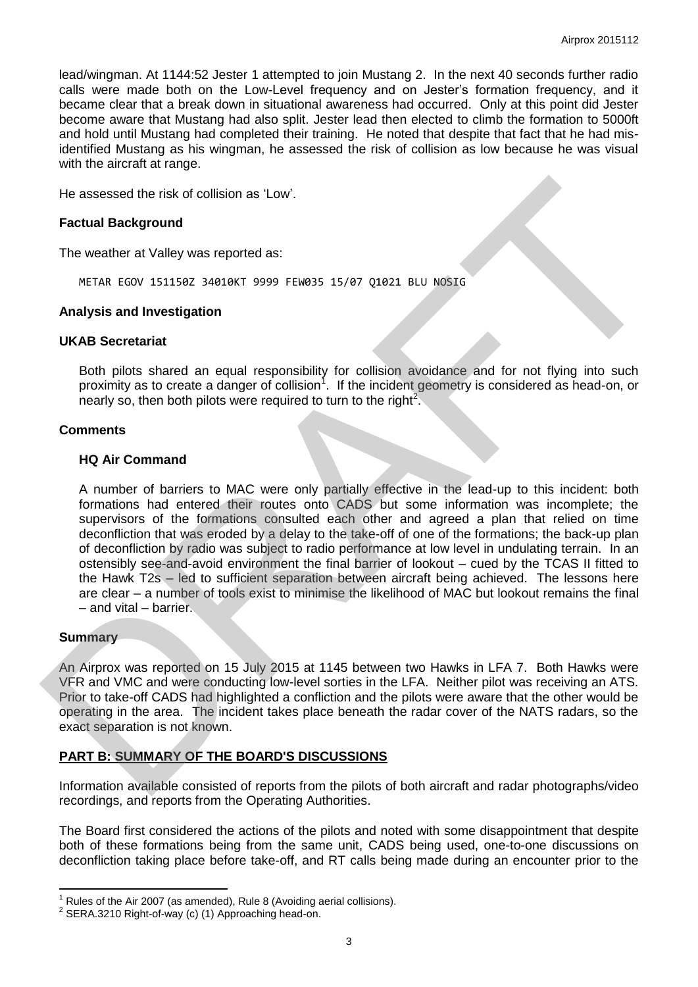lead/wingman. At 1144:52 Jester 1 attempted to join Mustang 2. In the next 40 seconds further radio calls were made both on the Low-Level frequency and on Jester's formation frequency, and it became clear that a break down in situational awareness had occurred. Only at this point did Jester become aware that Mustang had also split. Jester lead then elected to climb the formation to 5000ft and hold until Mustang had completed their training. He noted that despite that fact that he had misidentified Mustang as his wingman, he assessed the risk of collision as low because he was visual with the aircraft at range.

He assessed the risk of collision as 'Low'.

### **Factual Background**

The weather at Valley was reported as:

METAR EGOV 151150Z 34010KT 9999 FEW035 15/07 Q1021 BLU NOSIG

#### **Analysis and Investigation**

### **UKAB Secretariat**

Both pilots shared an equal responsibility for collision avoidance and for not flying into such proximity as to create a danger of collision<sup>1</sup>. If the incident geometry is considered as head-on, or nearly so, then both pilots were required to turn to the right<sup>2</sup>.

## **Comments**

#### **HQ Air Command**

A number of barriers to MAC were only partially effective in the lead-up to this incident: both formations had entered their routes onto CADS but some information was incomplete; the supervisors of the formations consulted each other and agreed a plan that relied on time deconfliction that was eroded by a delay to the take-off of one of the formations; the back-up plan of deconfliction by radio was subject to radio performance at low level in undulating terrain. In an ostensibly see-and-avoid environment the final barrier of lookout – cued by the TCAS II fitted to the Hawk T2s – led to sufficient separation between aircraft being achieved. The lessons here are clear – a number of tools exist to minimise the likelihood of MAC but lookout remains the final – and vital – barrier. He assessed the risk of collision as "Low".<br>
Factual Background<br>
The weather at Valley was reported as:<br>
METAR EGOV 1511562 34619KT 9999 FEM935 15/87 01821 BLU NOSE<br>
Analysis and Investigation<br>
UKAE Secretaries a danger of

#### **Summary**

 $\overline{\phantom{a}}$ 

An Airprox was reported on 15 July 2015 at 1145 between two Hawks in LFA 7. Both Hawks were VFR and VMC and were conducting low-level sorties in the LFA. Neither pilot was receiving an ATS. Prior to take-off CADS had highlighted a confliction and the pilots were aware that the other would be operating in the area. The incident takes place beneath the radar cover of the NATS radars, so the exact separation is not known.

# **PART B: SUMMARY OF THE BOARD'S DISCUSSIONS**

Information available consisted of reports from the pilots of both aircraft and radar photographs/video recordings, and reports from the Operating Authorities.

The Board first considered the actions of the pilots and noted with some disappointment that despite both of these formations being from the same unit, CADS being used, one-to-one discussions on deconfliction taking place before take-off, and RT calls being made during an encounter prior to the

<sup>1</sup> Rules of the Air 2007 (as amended), Rule 8 (Avoiding aerial collisions).

 $2$  SERA.3210 Right-of-way (c) (1) Approaching head-on.